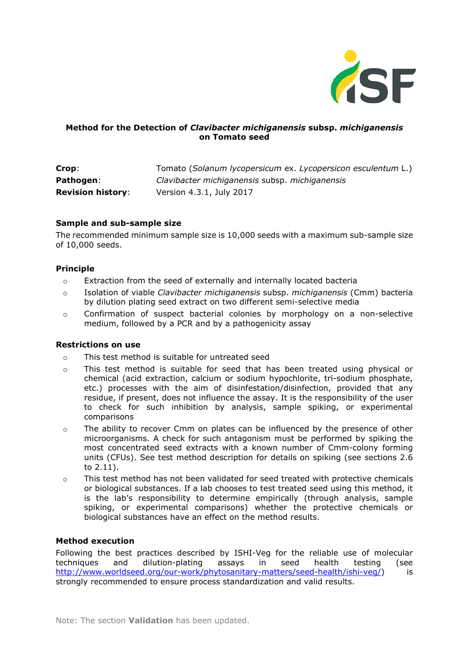

## **Method for the Detection of** *Clavibacter michiganensis* **subsp.** *michiganensis* **on Tomato seed**

| Crop:                    | Tomato (Solanum lycopersicum ex. Lycopersicon esculentum L.) |
|--------------------------|--------------------------------------------------------------|
| Pathogen:                | Clavibacter michiganensis subsp. michiganensis               |
| <b>Revision history:</b> | Version 4.3.1, July 2017                                     |

#### **Sample and sub-sample size**

The recommended minimum sample size is 10,000 seeds with a maximum sub-sample size of 10,000 seeds.

### **Principle**

- o Extraction from the seed of externally and internally located bacteria
- o Isolation of viable *Clavibacter michiganensis* subsp. *michiganensis* (Cmm) bacteria by dilution plating seed extract on two different semi-selective media
- o Confirmation of suspect bacterial colonies by morphology on a non-selective medium, followed by a PCR and by a pathogenicity assay

#### **Restrictions on use**

- o This test method is suitable for untreated seed
- o This test method is suitable for seed that has been treated using physical or chemical (acid extraction, calcium or sodium hypochlorite, tri-sodium phosphate, etc.) processes with the aim of disinfestation/disinfection, provided that any residue, if present, does not influence the assay. It is the responsibility of the user to check for such inhibition by analysis, sample spiking, or experimental comparisons
- o The ability to recover Cmm on plates can be influenced by the presence of other microorganisms. A check for such antagonism must be performed by spiking the most concentrated seed extracts with a known number of Cmm-colony forming units (CFUs). See test method description for details on spiking (see sections 2.6 to 2.11).
- o This test method has not been validated for seed treated with protective chemicals or biological substances. If a lab chooses to test treated seed using this method, it is the lab's responsibility to determine empirically (through analysis, sample spiking, or experimental comparisons) whether the protective chemicals or biological substances have an effect on the method results.

### **Method execution**

Following the best practices described by ISHI-Veg for the reliable use of molecular techniques and dilution-plating assays in seed health testing (see [http://www.worldseed.org/our-work/phytosanitary-matters/seed-health/ishi-veg/\)](http://www.worldseed.org/our-work/phytosanitary-matters/seed-health/ishi-veg/) is strongly recommended to ensure process standardization and valid results.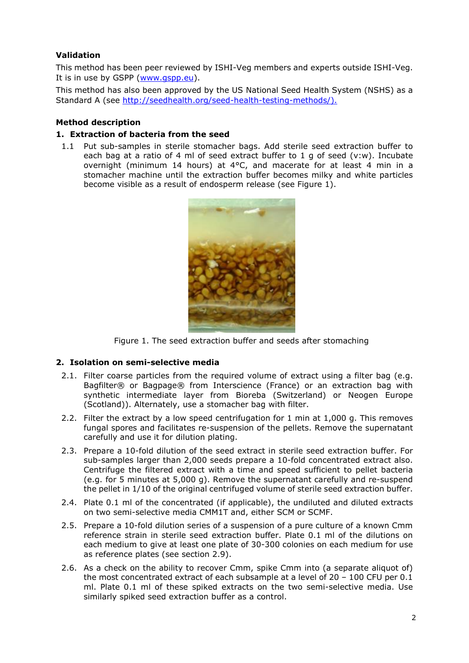## **Validation**

This method has been peer reviewed by ISHI-Veg members and experts outside ISHI-Veg. It is in use by GSPP [\(www.gspp.eu\)](http://www.gspp.eu/).

This method has also been approved by the US National Seed Health System (NSHS) as a Standard A (see [http://seedhealth.org/seed-health-testing-methods/\).](http://seedhealth.org/seed-health-testing-methods/).)

#### **Method description**

#### **1. Extraction of bacteria from the seed**

1.1 Put sub-samples in sterile stomacher bags. Add sterile seed extraction buffer to each bag at a ratio of 4 ml of seed extract buffer to 1 g of seed (v:w). Incubate overnight (minimum 14 hours) at 4°C, and macerate for at least 4 min in a stomacher machine until the extraction buffer becomes milky and white particles become visible as a result of endosperm release (see Figure 1).



Figure 1. The seed extraction buffer and seeds after stomaching

#### **2. Isolation on semi-selective media**

- 2.1. Filter coarse particles from the required volume of extract using a filter bag (e.g. Bagfilter® or Bagpage® from Interscience (France) or an extraction bag with synthetic intermediate layer from Bioreba (Switzerland) or Neogen Europe (Scotland)). Alternately, use a stomacher bag with filter.
- 2.2. Filter the extract by a low speed centrifugation for 1 min at 1,000 g. This removes fungal spores and facilitates re-suspension of the pellets. Remove the supernatant carefully and use it for dilution plating.
- 2.3. Prepare a 10-fold dilution of the seed extract in sterile seed extraction buffer. For sub-samples larger than 2,000 seeds prepare a 10-fold concentrated extract also. Centrifuge the filtered extract with a time and speed sufficient to pellet bacteria (e.g. for 5 minutes at 5,000 g). Remove the supernatant carefully and re-suspend the pellet in 1/10 of the original centrifuged volume of sterile seed extraction buffer.
- 2.4. Plate 0.1 ml of the concentrated (if applicable), the undiluted and diluted extracts on two semi-selective media CMM1T and, either SCM or SCMF.
- 2.5. Prepare a 10-fold dilution series of a suspension of a pure culture of a known Cmm reference strain in sterile seed extraction buffer. Plate 0.1 ml of the dilutions on each medium to give at least one plate of 30-300 colonies on each medium for use as reference plates (see section 2.9).
- 2.6. As a check on the ability to recover Cmm, spike Cmm into (a separate aliquot of) the most concentrated extract of each subsample at a level of  $20 - 100$  CFU per  $0.1$ ml. Plate 0.1 ml of these spiked extracts on the two semi-selective media. Use similarly spiked seed extraction buffer as a control.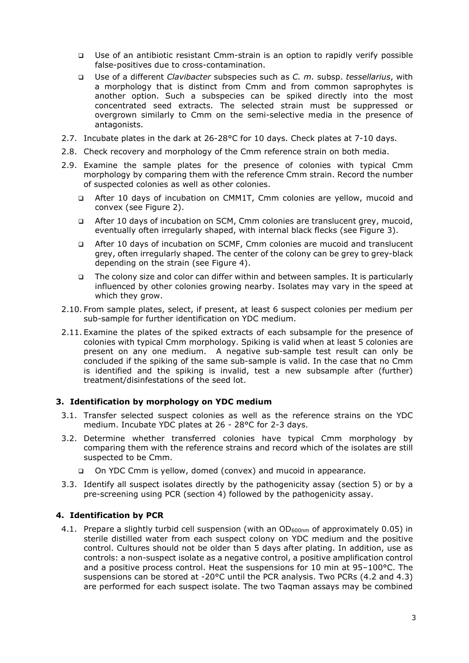- □ Use of an antibiotic resistant Cmm-strain is an option to rapidly verify possible false-positives due to cross-contamination.
- Use of a different *Clavibacter* subspecies such as *C. m.* subsp. *tessellarius*, with a morphology that is distinct from Cmm and from common saprophytes is another option. Such a subspecies can be spiked directly into the most concentrated seed extracts. The selected strain must be suppressed or overgrown similarly to Cmm on the semi-selective media in the presence of antagonists.
- 2.7. Incubate plates in the dark at 26-28°C for 10 days. Check plates at 7-10 days.
- 2.8. Check recovery and morphology of the Cmm reference strain on both media.
- 2.9. Examine the sample plates for the presence of colonies with typical Cmm morphology by comparing them with the reference Cmm strain. Record the number of suspected colonies as well as other colonies.
	- After 10 days of incubation on CMM1T, Cmm colonies are yellow, mucoid and convex (see Figure 2).
	- After 10 days of incubation on SCM, Cmm colonies are translucent grey, mucoid, eventually often irregularly shaped, with internal black flecks (see Figure 3).
	- After 10 days of incubation on SCMF, Cmm colonies are mucoid and translucent grey, often irregularly shaped. The center of the colony can be grey to grey-black depending on the strain (see Figure 4).
	- The colony size and color can differ within and between samples. It is particularly influenced by other colonies growing nearby. Isolates may vary in the speed at which they grow.
- 2.10. From sample plates, select, if present, at least 6 suspect colonies per medium per sub-sample for further identification on YDC medium.
- 2.11. Examine the plates of the spiked extracts of each subsample for the presence of colonies with typical Cmm morphology. Spiking is valid when at least 5 colonies are present on any one medium. A negative sub-sample test result can only be concluded if the spiking of the same sub-sample is valid. In the case that no Cmm is identified and the spiking is invalid, test a new subsample after (further) treatment/disinfestations of the seed lot.

#### **3. Identification by morphology on YDC medium**

- 3.1. Transfer selected suspect colonies as well as the reference strains on the YDC medium. Incubate YDC plates at 26 - 28°C for 2-3 days.
- 3.2. Determine whether transferred colonies have typical Cmm morphology by comparing them with the reference strains and record which of the isolates are still suspected to be Cmm.
	- On YDC Cmm is yellow, domed (convex) and mucoid in appearance.
- 3.3. Identify all suspect isolates directly by the pathogenicity assay (section 5) or by a pre-screening using PCR (section 4) followed by the pathogenicity assay.

#### **4. Identification by PCR**

4.1. Prepare a slightly turbid cell suspension (with an OD<sub>600nm</sub> of approximately 0.05) in sterile distilled water from each suspect colony on YDC medium and the positive control. Cultures should not be older than 5 days after plating. In addition, use as controls: a non-suspect isolate as a negative control, a positive amplification control and a positive process control. Heat the suspensions for 10 min at 95–100°C. The suspensions can be stored at -20°C until the PCR analysis. Two PCRs (4.2 and 4.3) are performed for each suspect isolate. The two Taqman assays may be combined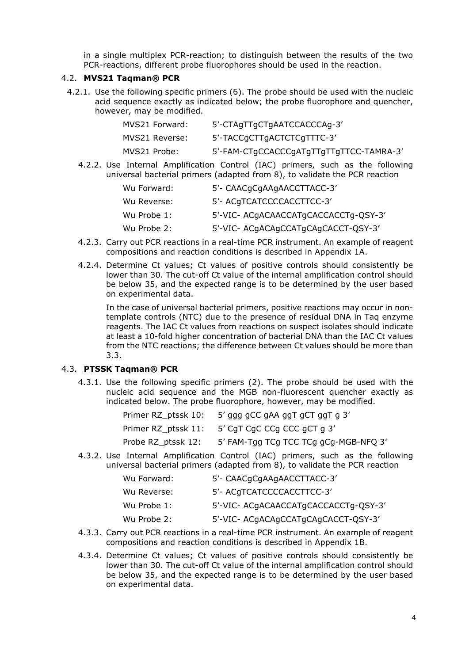in a single multiplex PCR-reaction; to distinguish between the results of the two PCR-reactions, different probe fluorophores should be used in the reaction.

#### 4.2. **MVS21 Taqman® PCR**

4.2.1. Use the following specific primers (6). The probe should be used with the nucleic acid sequence exactly as indicated below; the probe fluorophore and quencher, however, may be modified.

| MVS21 Forward: | 5'-CTAgTTgCTgAATCCACCCAg-3'             |
|----------------|-----------------------------------------|
| MVS21 Reverse: | 5'-TACCqCTTqACTCTCqTTTC-3'              |
| MVS21 Probe:   | 5'-FAM-CTgCCACCCgATgTTgTTgTTCC-TAMRA-3' |

4.2.2. Use Internal Amplification Control (IAC) primers, such as the following universal bacterial primers (adapted from 8), to validate the PCR reaction

| Wu Forward: | 5'- CAACqCqAAqAACCTTACC-3'           |
|-------------|--------------------------------------|
| Wu Reverse: | 5'- ACqTCATCCCCACCTTCC-3'            |
| Wu Probe 1: | 5'-VIC- ACgACAACCATgCACCACCTg-QSY-3' |
| Wu Probe 2: | 5'-VIC- ACgACAgCCATgCAgCACCT-QSY-3'  |

- 4.2.3. Carry out PCR reactions in a real-time PCR instrument. An example of reagent compositions and reaction conditions is described in Appendix 1A.
- 4.2.4. Determine Ct values; Ct values of positive controls should consistently be lower than 30. The cut-off Ct value of the internal amplification control should be below 35, and the expected range is to be determined by the user based on experimental data.

In the case of universal bacterial primers, positive reactions may occur in nontemplate controls (NTC) due to the presence of residual DNA in Taq enzyme reagents. The IAC Ct values from reactions on suspect isolates should indicate at least a 10-fold higher concentration of bacterial DNA than the IAC Ct values from the NTC reactions; the difference between Ct values should be more than 3.3.

## 4.3. **PTSSK Taqman® PCR**

4.3.1. Use the following specific primers (2). The probe should be used with the nucleic acid sequence and the MGB non-fluorescent quencher exactly as indicated below. The probe fluorophore, however, may be modified.

| Primer RZ_ptssk 10: | 5' ggg gCC gAA ggT gCT ggT g 3'                 |
|---------------------|-------------------------------------------------|
|                     | Primer RZ_ptssk 11: 5' CgT CgC CCg CCC gCT g 3' |
| Probe RZ_ptssk 12:  | 5' FAM-Tgg TCg TCC TCg gCg-MGB-NFQ 3'           |

4.3.2. Use Internal Amplification Control (IAC) primers, such as the following universal bacterial primers (adapted from 8), to validate the PCR reaction

| 5'- CAACgCgAAgAACCTTACC-3'           |
|--------------------------------------|
| 5'- ACqTCATCCCCACCTTCC-3'            |
| 5'-VIC- ACqACAACCATqCACCACCTq-QSY-3' |
| 5'-VIC- ACgACAgCCATgCAgCACCT-QSY-3'  |
|                                      |

- 4.3.3. Carry out PCR reactions in a real-time PCR instrument. An example of reagent compositions and reaction conditions is described in Appendix 1B.
- 4.3.4. Determine Ct values; Ct values of positive controls should consistently be lower than 30. The cut-off Ct value of the internal amplification control should be below 35, and the expected range is to be determined by the user based on experimental data.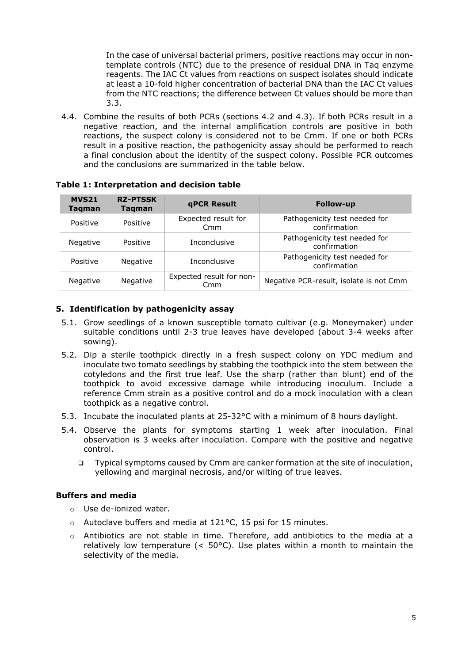In the case of universal bacterial primers, positive reactions may occur in nontemplate controls (NTC) due to the presence of residual DNA in Taq enzyme reagents. The IAC Ct values from reactions on suspect isolates should indicate at least a 10-fold higher concentration of bacterial DNA than the IAC Ct values from the NTC reactions; the difference between Ct values should be more than 3.3.

4.4. Combine the results of both PCRs (sections 4.2 and 4.3). If both PCRs result in a negative reaction, and the internal amplification controls are positive in both reactions, the suspect colony is considered not to be Cmm. If one or both PCRs result in a positive reaction, the pathogenicity assay should be performed to reach a final conclusion about the identity of the suspect colony. Possible PCR outcomes and the conclusions are summarized in the table below.

| <b>MVS21</b><br><b>Tagman</b> | <b>RZ-PTSSK</b><br>Tagman | <b>qPCR Result</b>              | <b>Follow-up</b>                              |
|-------------------------------|---------------------------|---------------------------------|-----------------------------------------------|
| Positive                      | Positive                  | Expected result for<br>Cmm      | Pathogenicity test needed for<br>confirmation |
| Negative                      | Positive                  | <b>Inconclusive</b>             | Pathogenicity test needed for<br>confirmation |
| Positive                      | <b>Negative</b>           | Inconclusive                    | Pathogenicity test needed for<br>confirmation |
| Negative                      | Negative                  | Expected result for non-<br>Cmm | Negative PCR-result, isolate is not Cmm       |

#### **Table 1: Interpretation and decision table**

### **5. Identification by pathogenicity assay**

- 5.1. Grow seedlings of a known susceptible tomato cultivar (e.g. Moneymaker) under suitable conditions until 2-3 true leaves have developed (about 3-4 weeks after sowing).
- 5.2. Dip a sterile toothpick directly in a fresh suspect colony on YDC medium and inoculate two tomato seedlings by stabbing the toothpick into the stem between the cotyledons and the first true leaf. Use the sharp (rather than blunt) end of the toothpick to avoid excessive damage while introducing inoculum. Include a reference Cmm strain as a positive control and do a mock inoculation with a clean toothpick as a negative control.
- 5.3. Incubate the inoculated plants at 25-32°C with a minimum of 8 hours daylight.
- 5.4. Observe the plants for symptoms starting 1 week after inoculation. Final observation is 3 weeks after inoculation. Compare with the positive and negative control.
	- Typical symptoms caused by Cmm are canker formation at the site of inoculation, yellowing and marginal necrosis, and/or wilting of true leaves.

## **Buffers and media**

- o Use de-ionized water.
- o Autoclave buffers and media at 121°C, 15 psi for 15 minutes.
- o Antibiotics are not stable in time. Therefore, add antibiotics to the media at a relatively low temperature  $(< 50^{\circ}$ C). Use plates within a month to maintain the selectivity of the media.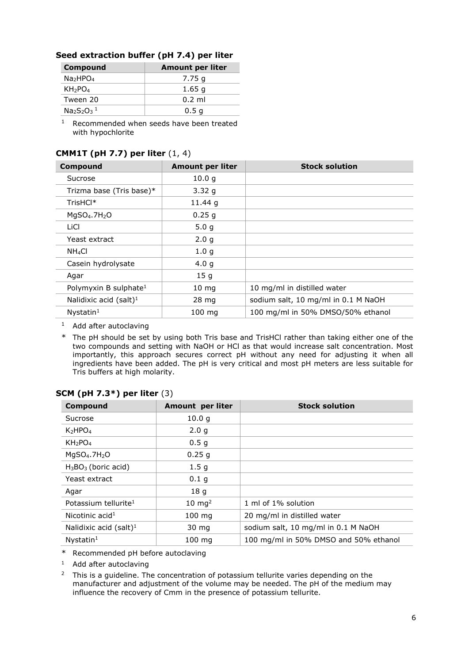| Seed extraction buffer (pH 7.4) per liter |  |  |  |  |
|-------------------------------------------|--|--|--|--|
|-------------------------------------------|--|--|--|--|

| Compound                         | <b>Amount per liter</b> |
|----------------------------------|-------------------------|
| Na <sub>2</sub> HPO <sub>4</sub> | 7.75 g                  |
| KH <sub>2</sub> PO <sub>4</sub>  | 1.65q                   |
| Tween 20                         | $0.2$ ml                |
| $Na2S2O31$                       | 0.5 <sub>q</sub>        |

<sup>1</sup> Recommended when seeds have been treated with hypochlorite

| Compound                          | <b>Amount per liter</b> | <b>Stock solution</b>               |  |
|-----------------------------------|-------------------------|-------------------------------------|--|
| Sucrose                           | 10.0 <sub>q</sub>       |                                     |  |
| Trizma base (Tris base)*          | 3.32q                   |                                     |  |
| TrisHCl*                          | 11.44 g                 |                                     |  |
| $MqSO4$ .7H <sub>2</sub> O        | 0.25q                   |                                     |  |
| LiCl                              | 5.0 <sub>g</sub>        |                                     |  |
| Yeast extract                     | 2.0 <sub>g</sub>        |                                     |  |
| NH <sub>4</sub> Cl                | 1.0 <sub>g</sub>        |                                     |  |
| Casein hydrolysate                | 4.0 <sub>q</sub>        |                                     |  |
| Agar                              | 15 <sub>g</sub>         |                                     |  |
| Polymyxin B sulphate <sup>1</sup> | $10 \, mg$              | 10 mg/ml in distilled water         |  |
| Nalidixic acid $(salt)^1$         | $28 \, mg$              | sodium salt, 10 mg/ml in 0.1 M NaOH |  |
| $N$ ystatin $1$                   | $100 \text{ mg}$        | 100 mg/ml in 50% DMSO/50% ethanol   |  |

# **CMM1T (pH 7.7) per liter** (1, 4)

 $1$  Add after autoclaving

\* The pH should be set by using both Tris base and TrisHCl rather than taking either one of the two compounds and setting with NaOH or HCl as that would increase salt concentration. Most importantly, this approach secures correct pH without any need for adjusting it when all ingredients have been added. The pH is very critical and most pH meters are less suitable for Tris buffers at high molarity.

| Compound                         | Amount per liter  | <b>Stock solution</b>                 |
|----------------------------------|-------------------|---------------------------------------|
| Sucrose                          | 10.0 q            |                                       |
| K <sub>2</sub> HPO <sub>4</sub>  | 2.0 <sub>q</sub>  |                                       |
| KH <sub>2</sub> PO <sub>4</sub>  | 0.5 <sub>g</sub>  |                                       |
| $MqSO4$ .7H <sub>2</sub> O       | 0.25g             |                                       |
| $H_3BO_3$ (boric acid)           | 1.5 <sub>g</sub>  |                                       |
| Yeast extract                    | 0.1 <sub>g</sub>  |                                       |
| Agar                             | 18 <sub>g</sub>   |                                       |
| Potassium tellurite <sup>1</sup> | $10 \text{ mg}^2$ | 1 ml of 1% solution                   |
| Nicotinic $acid1$                | $100$ mg          | 20 mg/ml in distilled water           |
| Nalidixic acid $(salt)^1$        | 30 mg             | sodium salt, 10 mg/ml in 0.1 M NaOH   |
| $N$ ystatin $1$                  | 100 mg            | 100 mg/ml in 50% DMSO and 50% ethanol |

## **SCM (pH 7.3\*) per liter** (3)

\* Recommended pH before autoclaving

<sup>1</sup> Add after autoclaving

<sup>2</sup> This is a guideline. The concentration of potassium tellurite varies depending on the manufacturer and adjustment of the volume may be needed. The pH of the medium may influence the recovery of Cmm in the presence of potassium tellurite.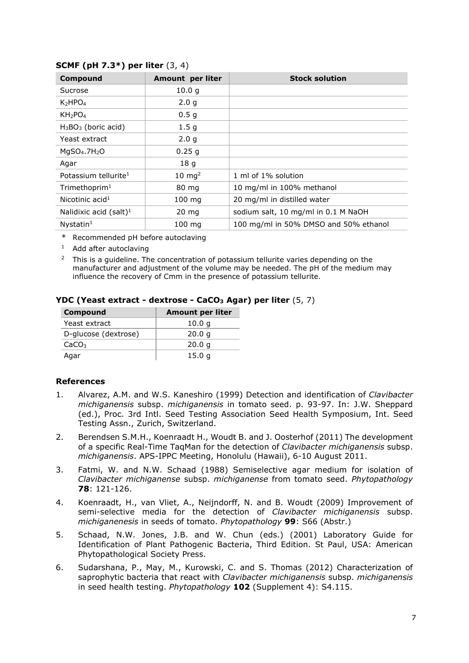| Compound                         | <b>Amount per liter</b> | <b>Stock solution</b>                 |
|----------------------------------|-------------------------|---------------------------------------|
| Sucrose                          | 10.0 q                  |                                       |
| K <sub>2</sub> HPO <sub>4</sub>  | 2.0 <sub>g</sub>        |                                       |
| KH <sub>2</sub> PO <sub>4</sub>  | 0.5 <sub>g</sub>        |                                       |
| $H_3BO_3$ (boric acid)           | 1.5 <sub>g</sub>        |                                       |
| Yeast extract                    | 2.0 <sub>g</sub>        |                                       |
| $MgSO4$ .7H <sub>2</sub> O       | 0.25g                   |                                       |
| Agar                             | 18 <sub>g</sub>         |                                       |
| Potassium tellurite <sup>1</sup> | $10 \text{ mg}^2$       | 1 ml of 1% solution                   |
| $T$ rimethoprim $1$              | 80 mg                   | 10 mg/ml in 100% methanol             |
| Nicotinic $acid1$                | $100$ mg                | 20 mg/ml in distilled water           |
| Nalidixic acid $(salt)^1$        | $20 \text{ mg}$         | sodium salt, 10 mg/ml in 0.1 M NaOH   |
| $N$ ystatin $1$                  | $100 \text{ ma}$        | 100 mg/ml in 50% DMSO and 50% ethanol |

### **SCMF (pH 7.3\*) per liter** (3, 4)

\* Recommended pH before autoclaving

<sup>1</sup> Add after autoclaving

<sup>2</sup> This is a guideline. The concentration of potassium tellurite varies depending on the manufacturer and adjustment of the volume may be needed. The pH of the medium may influence the recovery of Cmm in the presence of potassium tellurite.

| <b>Compound</b>      | <b>Amount per liter</b> |  |
|----------------------|-------------------------|--|
| Yeast extract        | 10.0 q                  |  |
| D-glucose (dextrose) | 20.0 q                  |  |
| CaCO <sub>3</sub>    | 20.0 q                  |  |
| Agar                 | 15.0 a                  |  |

#### **YDC (Yeast extract - dextrose - CaCO3 Agar) per liter** (5, 7)

#### **References**

- 1. Alvarez, A.M. and W.S. Kaneshiro (1999) Detection and identification of *Clavibacter michiganensis* subsp. *michiganensis* in tomato seed. p. 93-97. In: J.W. Sheppard (ed.), Proc. 3rd Intl. Seed Testing Association Seed Health Symposium, Int. Seed Testing Assn., Zurich, Switzerland.
- 2. Berendsen S.M.H., Koenraadt H., Woudt B. and J. Oosterhof (2011) The development of a specific Real-Time TaqMan for the detection of *Clavibacter michiganensis* subsp. *michiganensis*. APS-IPPC Meeting, Honolulu (Hawaii), 6-10 August 2011.
- 3. Fatmi, W. and N.W. Schaad (1988) Semiselective agar medium for isolation of *Clavibacter michiganense* subsp. *michiganense* from tomato seed. *Phytopathology* **78**: 121-126.
- 4. Koenraadt, H., van Vliet, A., Neijndorff, N. and B. Woudt (2009) Improvement of semi-selective media for the detection of *Clavibacter michiganensis* subsp. *michiganenesis* in seeds of tomato. *Phytopathology* **99**: S66 (Abstr.)
- 5. Schaad, N.W. Jones, J.B. and W. Chun (eds.) (2001) Laboratory Guide for Identification of Plant Pathogenic Bacteria, Third Edition. St Paul, USA: American Phytopathological Society Press.
- 6. Sudarshana, P., May, M., Kurowski, C. and S. Thomas (2012) Characterization of saprophytic bacteria that react with *Clavibacter michiganensis* subsp. *michiganensis* in seed health testing. *Phytopathology* **102** (Supplement 4): S4.115.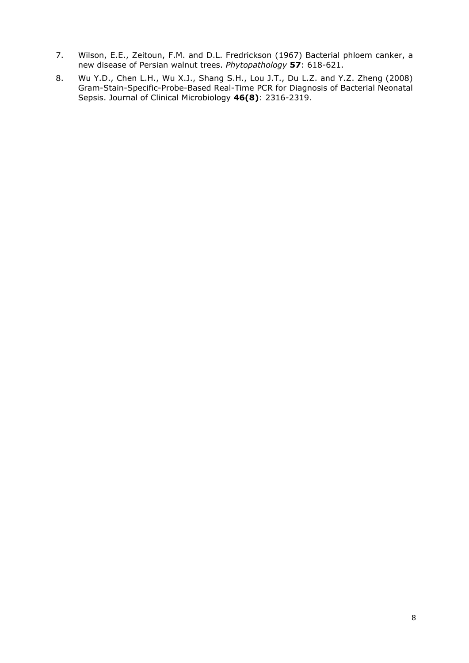- 7. Wilson, E.E., Zeitoun, F.M. and D.L. Fredrickson (1967) Bacterial phloem canker, a new disease of Persian walnut trees. *Phytopathology* **57**: 618-621.
- 8. Wu Y.D., Chen L.H., Wu X.J., Shang S.H., Lou J.T., Du L.Z. and Y.Z. Zheng (2008) Gram-Stain-Specific-Probe-Based Real-Time PCR for Diagnosis of Bacterial Neonatal Sepsis. Journal of Clinical Microbiology **46(8)**: 2316-2319.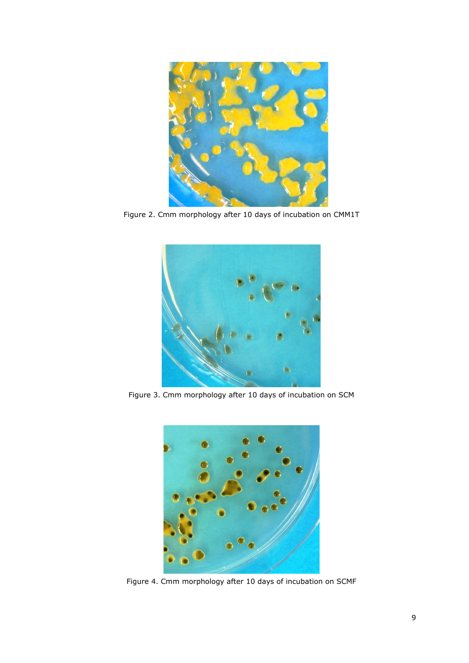

Figure 2. Cmm morphology after 10 days of incubation on CMM1T



Figure 3. Cmm morphology after 10 days of incubation on SCM



Figure 4. Cmm morphology after 10 days of incubation on SCMF